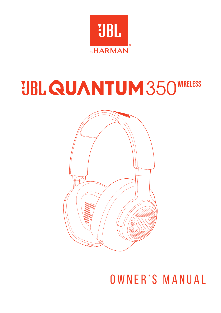

# **JBL QUANTUM 350 WIRELESS**



OWNER'S MANUAL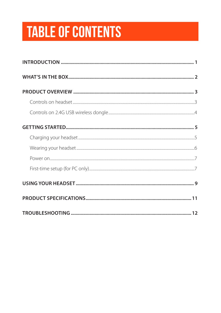# **TABLE OF CONTENTS**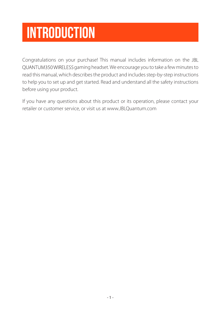# <span id="page-2-0"></span>**Introduction**

Congratulations on your purchase! This manual includes information on the QUANTUM350 WIRELESS gaming headset. We encourage you to take a few minutes to read this manual, which describes the product and includes step-by-step instructions to help you to set up and get started. Read and understand all the safety instructions before using your product.

If you have any questions about this product or its operation, please contact your retailer or customer service, or visit us at www.JBLQuantum.com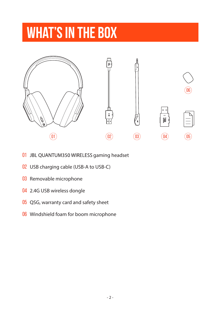# <span id="page-3-0"></span>**What's in the box**



- 01 JBL QUANTUM350 WIRELESS gaming headset
- 02 USB charging cable (USB-A to USB-C)
- 03 Removable microphone
- 04 2.4G USB wireless dongle
- 05 QSG, warranty card and safety sheet
- 06 Windshield foam for boom microphone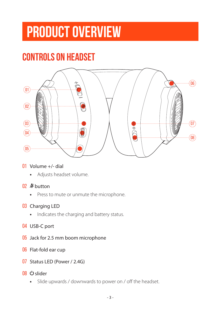# <span id="page-4-0"></span>**PRODUCT OVERVIEW**

## **Controls on headset**



#### 01 Volume +/- dial

**•** Adjusts headset volume.

#### 02 % button

**•** Press to mute or unmute the microphone.

#### 03 Charging LED

- **•** Indicates the charging and battery status.
- 04 USB-C port
- 05 Jack for 2.5 mm boom microphone
- 06 Flat-fold ear cup
- 07 Status LED (Power / 2.4G)
- 08 (b slider
	- **•** Slide upwards / downwards to power on / off the headset.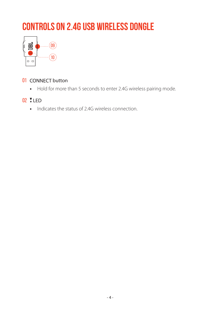## <span id="page-5-0"></span>**Controls on 2.4G USB wireless dongle**



#### 01 CONNECT button

**•** Hold for more than 5 seconds to enter 2.4G wireless pairing mode.

#### 02 LED

**•** Indicates the status of 2.4G wireless connection.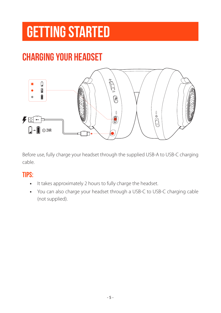# <span id="page-6-0"></span>**Getting started**

## <span id="page-6-1"></span>**Charging your headset**



Before use, fully charge your headset through the supplied USB-A to USB-C charging cable.

### **TIPS:**

- **•** It takes approximately 2 hours to fully charge the headset.
- **•** You can also charge your headset through a USB-C to USB-C charging cable (not supplied).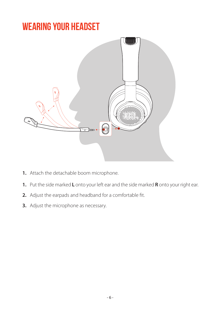## <span id="page-7-0"></span>**Wearing your headset**



- **1.** Attach the detachable boom microphone.
- **1.** Put the side marked **L** onto your left ear and the side marked **R** onto your right ear.
- **2.** Adjust the earpads and headband for a comfortable fit.
- **3.** Adjust the microphone as necessary.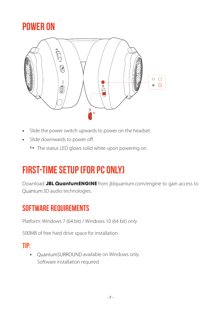## <span id="page-8-0"></span>**Power on**



- **•** Slide the power switch upwards to power on the headset.
- **•** Slide downwards to power off.
	- $\rightarrow$  The status LED glows solid white upon powering on.

## **First-time setup (for PC only)**

Download **JBL QuantumENGINE** from jblquantum.com/engine to gain access to Quantum 3D audio technologies.

### **Software requirements**

Platform: Windows 7 (64 bit) / Windows 10 (64 bit) only

500MB of free hard drive space for installation

### **TIP:**

• QuantumSURROUND available on Windows only. Software installation required.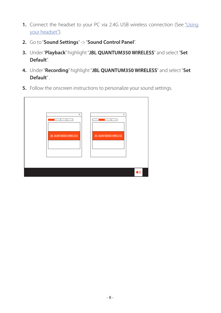- **1.** Connect the headset to your PC via 2.4G USB wireless connection (See ["Using](#page-10-1) [your headset"\)](#page-10-1).
- **2.** Go to "**Sound Settings**" -> "**Sound Control Panel**".
- 3. Under "Playback" highlight "JBL QUANTUM350 WIRELESS" and select "Set **Default**".
- 4. Under "Recording" highlight "JBL QUANTUM350 WIRELESS" and select "Set **Default**" .
- **5.** Follow the onscreen instructions to personalize your sound settings.

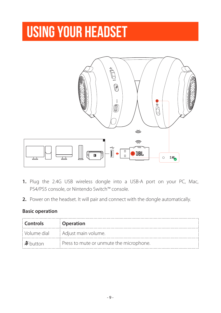# <span id="page-10-1"></span><span id="page-10-0"></span>**Using your headset**



- **1.** Plug the 2.4G USB wireless dongle into a USB-A port on your PC, Mac, PS4/PS5 console, or Nintendo Switch™ console.
- **2.** Power on the headset. It will pair and connect with the dongle automatically.

#### **Basic operation**

| <b>Controls</b> | <b>Operation</b>                        |
|-----------------|-----------------------------------------|
| ' Volume dial   | Adjust main volume.                     |
|                 | Press to mute or unmute the microphone. |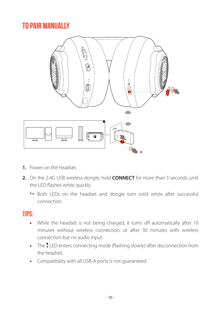## <span id="page-11-0"></span>**To pair manually**



- **1.** Power on the headset
- **2.** On the 2.4G USB wireless dongle, hold **CONNECT** for more than 5 seconds until the LED flashes white quickly.
	- $\rightarrow$  Both LEDs on the headset and dongle turn solid white after successful connection.

### **TIPS:**

- **•** While the headset is not being charged, it turns off automatically after 10 minutes without wireless connection, or after 30 minutes with wireless connection but no audio input.
- The **ILED** enters connecting mode (flashing slowly) after disconnection from the headset.
- **•** Compatibility with all USB-A ports is not guaranteed.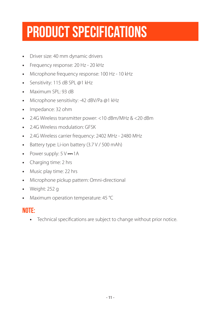# <span id="page-12-0"></span>**Product Specifications**

- **•** Driver size: 40 mm dynamic drivers
- **•** Frequency response: 20 Hz 20 kHz
- **•** Microphone frequency response: 100 Hz 10 kHz
- **•** Sensitivity: 115 dB SPL @1 kHz
- **•** Maximum SPL: 93 dB
- **•** Microphone sensitivity: -42 dBV/Pa @1 kHz
- **•** Impedance: 32 ohm
- **•** 2.4G Wireless transmitter power: <10 dBm/MHz & <20 dBm
- **•** 2.4G Wireless modulation: GFSK
- **•** 2.4G Wireless carrier frequency: 2402 MHz 2480 MHz
- **•** Battery type: Li-ion battery (3.7 V / 500 mAh)
- Power supply:  $5V = 1A$
- **•** Charging time: 2 hrs
- **•** Music play time: 22 hrs
- **•** Microphone pickup pattern: Omni-directional
- **•** Weight: 252 g
- **•** Maximum operation temperature: 45 °C

### **NOTE:**

**•** Technical specifications are subject to change without prior notice.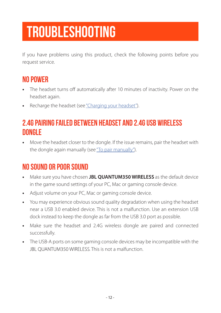# <span id="page-13-0"></span>**Troubleshooting**

If you have problems using this product, check the following points before you request service.

### **No power**

- **•** The headset turns off automatically after 10 minutes of inactivity. Power on the headset again.
- **•** Recharge the headset (see ["Charging your headset"](#page-6-1)).

### **2.4G pairing failed between headset and 2.4G USB wireless dongle**

**•** Move the headset closer to the dongle. If the issue remains, pair the headset with the dongle again manually (see ["To pair manually"](#page-11-0)).

## **No sound or poor sound**

- Make sure you have chosen **JBL QUANTUM350 WIRELESS** as the default device in the game sound settings of your PC, Mac or gaming console device.
- **•** Adjust volume on your PC, Mac or gaming console device.
- **•** You may experience obvious sound quality degradation when using the headset near a USB 3.0 enabled device. This is not a malfunction. Use an extension USB dock instead to keep the dongle as far from the USB 3.0 port as possible.
- **•** Make sure the headset and 2.4G wireless dongle are paired and connected successfully.
- **•** The USB-A ports on some gaming console devices may be incompatible with the JBL QUANTUM350 WIRELESS. This is not a malfunction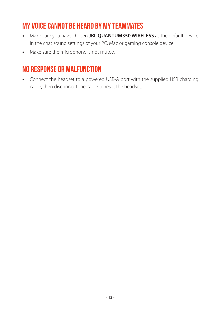### **My voice cannot be heard by my teammates**

- **•** Make sure you have chosen **JBL QUANTUM350 WIRELESS** as the default device in the chat sound settings of your PC, Mac or gaming console device.
- **•** Make sure the microphone is not muted.

## **No response or malfunction**

**•** Connect the headset to a powered USB-A port with the supplied USB charging cable, then disconnect the cable to reset the headset.